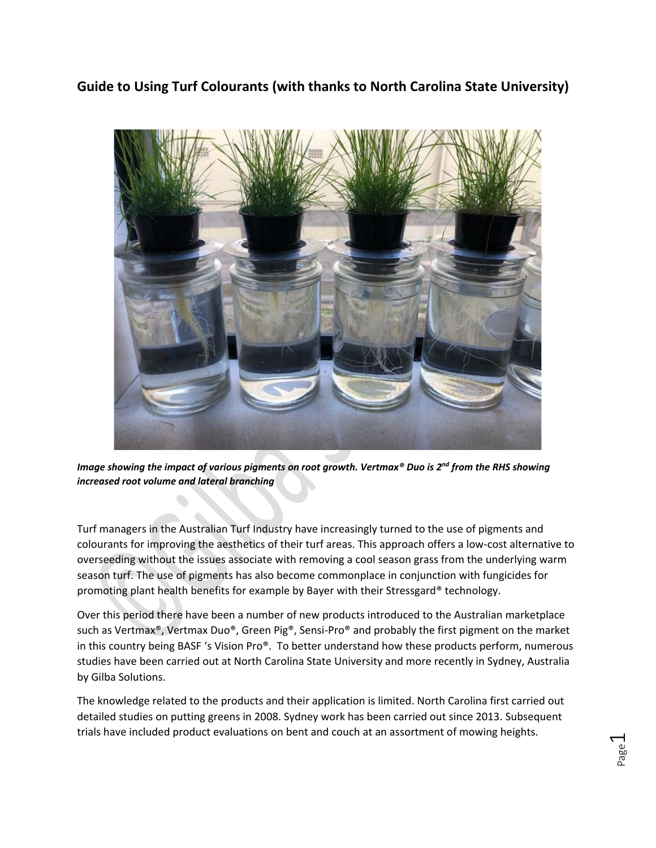**Guide to Using Turf Colourants (with thanks to North Carolina State University)**



*Image showing the impact of various pigments on root growth. Vertmax® Duo is 2nd from the RHS showing increased root volume and lateral branching*

Turf managers in the Australian Turf Industry have increasingly turned to the use of pigments and colourants for improving the aesthetics of their turf areas. This approach offers a low-cost alternative to overseeding without the issues associate with removing a cool season grass from the underlying warm season turf. The use of pigments has also become commonplace in conjunction with fungicides for promoting plant health benefits for example by Bayer with their Stressgard® technology.

Over this period there have been a number of new products introduced to the Australian marketplace such as Vertmax®, Vertmax Duo®, Green Pig®, Sensi-Pro® and probably the first pigment on the market in this country being BASF 's Vision Pro®. To better understand how these products perform, numerous studies have been carried out at North Carolina State University and more recently in Sydney, Australia by Gilba Solutions.

The knowledge related to the products and their application is limited. North Carolina first carried out detailed studies on putting greens in 2008. Sydney work has been carried out since 2013. Subsequent trials have included product evaluations on bent and couch at an assortment of mowing heights.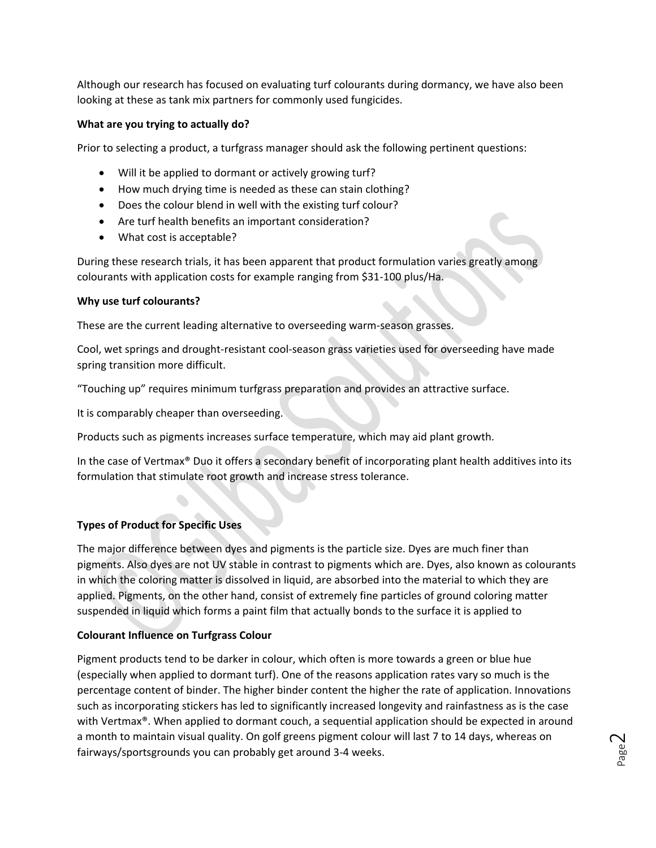Although our research has focused on evaluating turf colourants during dormancy, we have also been looking at these as tank mix partners for commonly used fungicides.

## **What are you trying to actually do?**

Prior to selecting a product, a turfgrass manager should ask the following pertinent questions:

- Will it be applied to dormant or actively growing turf?
- How much drying time is needed as these can stain clothing?
- Does the colour blend in well with the existing turf colour?
- Are turf health benefits an important consideration?
- What cost is acceptable?

During these research trials, it has been apparent that product formulation varies greatly among colourants with application costs for example ranging from \$31-100 plus/Ha.

### **Why use turf colourants?**

These are the current leading alternative to overseeding warm-season grasses.

Cool, wet springs and drought-resistant cool-season grass varieties used for overseeding have made spring transition more difficult.

"Touching up" requires minimum turfgrass preparation and provides an attractive surface.

It is comparably cheaper than overseeding.

Products such as pigments increases surface temperature, which may aid plant growth.

In the case of Vertmax® Duo it offers a secondary benefit of incorporating plant health additives into its formulation that stimulate root growth and increase stress tolerance.

# **Types of Product for Specific Uses**

The major difference between dyes and pigments is the particle size. Dyes are much finer than pigments. Also dyes are not UV stable in contrast to pigments which are. Dyes, also known as colourants in which the coloring matter is dissolved in liquid, are absorbed into the material to which they are applied. Pigments, on the other hand, consist of extremely fine particles of ground coloring matter suspended in liquid which forms a paint film that actually bonds to the surface it is applied to

# **Colourant Influence on Turfgrass Colour**

Pigment products tend to be darker in colour, which often is more towards a green or blue hue (especially when applied to dormant turf). One of the reasons application rates vary so much is the percentage content of binder. The higher binder content the higher the rate of application. Innovations such as incorporating stickers has led to significantly increased longevity and rainfastness as is the case with Vertmax®. When applied to dormant couch, a sequential application should be expected in around a month to maintain visual quality. On golf greens pigment colour will last 7 to 14 days, whereas on fairways/sportsgrounds you can probably get around 3-4 weeks.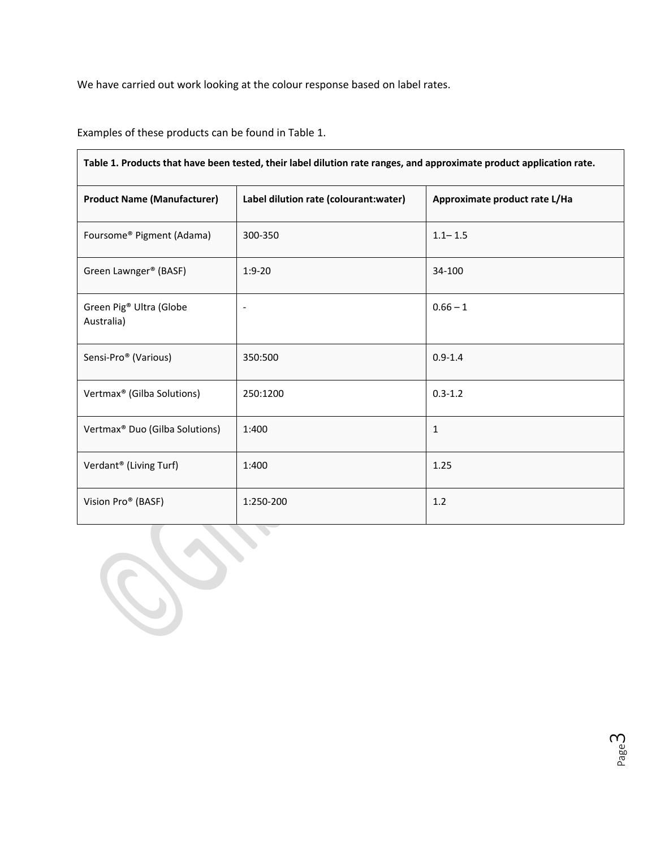We have carried out work looking at the colour response based on label rates.

Examples of these products can be found in Table 1.

 $\blacksquare$ 

| Label dilution rate (colourant:water)<br>Approximate product rate L/Ha<br>$1.1 - 1.5$<br>300-350<br>$1:9-20$<br>34-100<br>$0.66 - 1$<br>$\blacksquare$<br>350:500<br>$0.9 - 1.4$<br>250:1200<br>$0.3 - 1.2$<br>1:400<br>$\mathbf{1}$<br>1:400<br>1.25<br>1:250-200<br>$1.2\,$ | Table 1. Products that have been tested, their label dilution rate ranges, and approximate product application rate. |  |  |  |  |
|-------------------------------------------------------------------------------------------------------------------------------------------------------------------------------------------------------------------------------------------------------------------------------|----------------------------------------------------------------------------------------------------------------------|--|--|--|--|
|                                                                                                                                                                                                                                                                               | <b>Product Name (Manufacturer)</b>                                                                                   |  |  |  |  |
|                                                                                                                                                                                                                                                                               | Foursome® Pigment (Adama)                                                                                            |  |  |  |  |
|                                                                                                                                                                                                                                                                               | Green Lawnger® (BASF)                                                                                                |  |  |  |  |
|                                                                                                                                                                                                                                                                               | Green Pig® Ultra (Globe<br>Australia)                                                                                |  |  |  |  |
| Vertmax® (Gilba Solutions)<br>Vertmax <sup>®</sup> Duo (Gilba Solutions)<br>Verdant® (Living Turf)<br>Vision Pro® (BASF)                                                                                                                                                      | Sensi-Pro <sup>®</sup> (Various)                                                                                     |  |  |  |  |
|                                                                                                                                                                                                                                                                               |                                                                                                                      |  |  |  |  |
|                                                                                                                                                                                                                                                                               |                                                                                                                      |  |  |  |  |
|                                                                                                                                                                                                                                                                               |                                                                                                                      |  |  |  |  |
|                                                                                                                                                                                                                                                                               |                                                                                                                      |  |  |  |  |

Page ന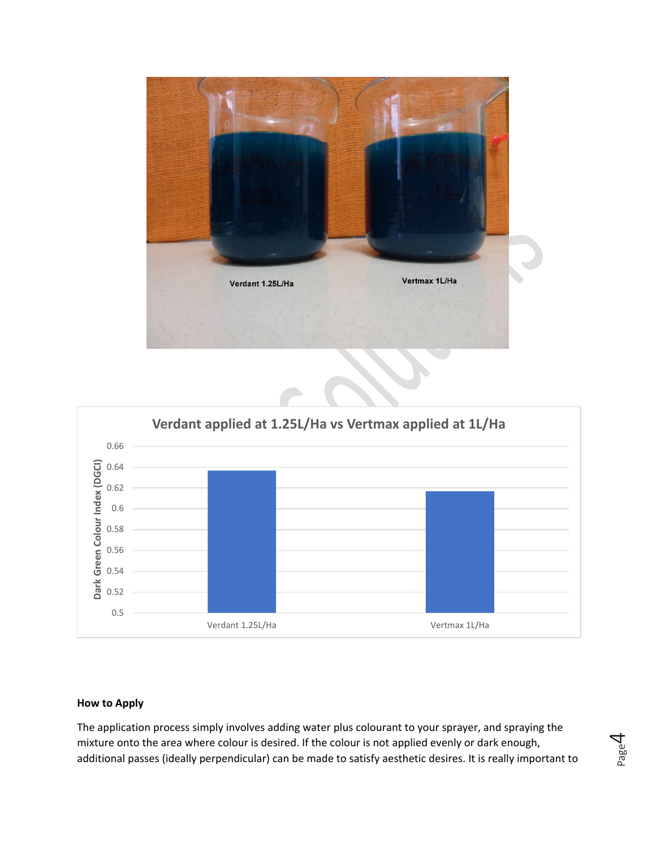



#### **How to Apply**

The application process simply involves adding water plus colourant to your sprayer, and spraying the mixture onto the area where colour is desired. If the colour is not applied evenly or dark enough, additional passes (ideally perpendicular) can be made to satisfy aesthetic desires. It is really important to

$$
P_{\text{age}}\mathcal{A}
$$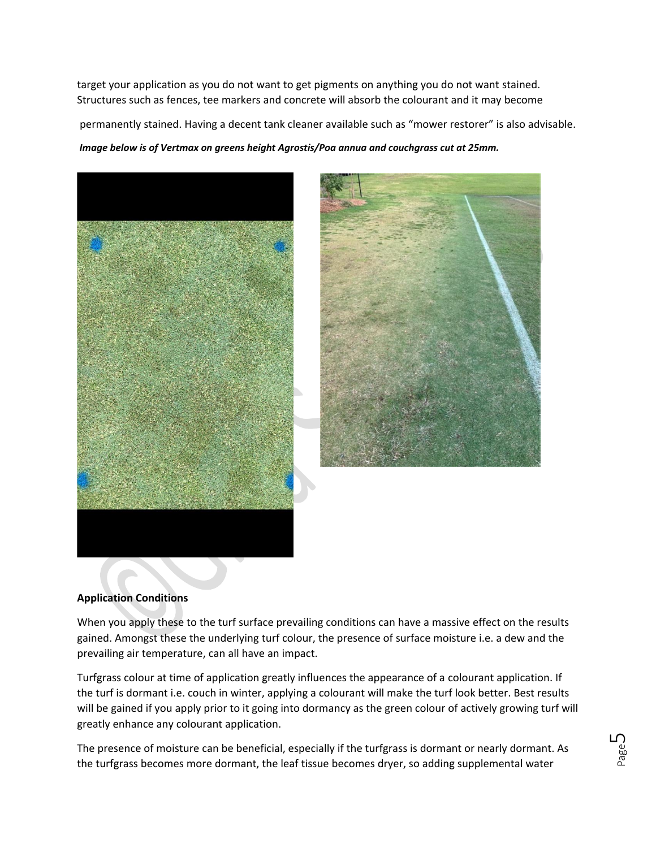target your application as you do not want to get pigments on anything you do not want stained. Structures such as fences, tee markers and concrete will absorb the colourant and it may become

permanently stained. Having a decent tank cleaner available such as "mower restorer" is also advisable.

*Image below is of Vertmax on greens height Agrostis/Poa annua and couchgrass cut at 25mm.*





### **Application Conditions**

When you apply these to the turf surface prevailing conditions can have a massive effect on the results gained. Amongst these the underlying turf colour, the presence of surface moisture i.e. a dew and the prevailing air temperature, can all have an impact.

Turfgrass colour at time of application greatly influences the appearance of a colourant application. If the turf is dormant i.e. couch in winter, applying a colourant will make the turf look better. Best results will be gained if you apply prior to it going into dormancy as the green colour of actively growing turf will greatly enhance any colourant application.

The presence of moisture can be beneficial, especially if the turfgrass is dormant or nearly dormant. As the turfgrass becomes more dormant, the leaf tissue becomes dryer, so adding supplemental water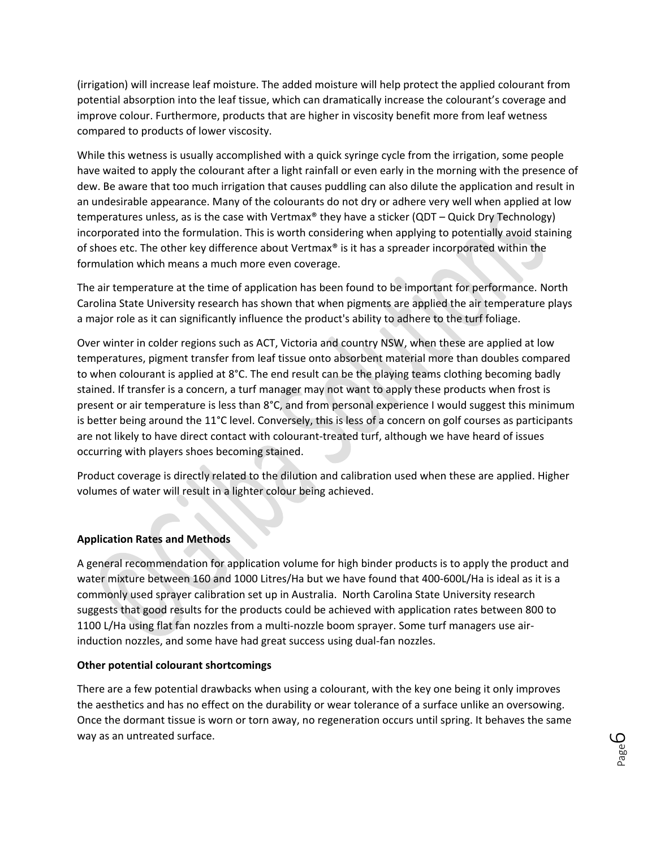(irrigation) will increase leaf moisture. The added moisture will help protect the applied colourant from potential absorption into the leaf tissue, which can dramatically increase the colourant's coverage and improve colour. Furthermore, products that are higher in viscosity benefit more from leaf wetness compared to products of lower viscosity.

While this wetness is usually accomplished with a quick syringe cycle from the irrigation, some people have waited to apply the colourant after a light rainfall or even early in the morning with the presence of dew. Be aware that too much irrigation that causes puddling can also dilute the application and result in an undesirable appearance. Many of the colourants do not dry or adhere very well when applied at low temperatures unless, as is the case with Vertmax® they have a sticker (QDT – Quick Dry Technology) incorporated into the formulation. This is worth considering when applying to potentially avoid staining of shoes etc. The other key difference about Vertmax® is it has a spreader incorporated within the formulation which means a much more even coverage.

The air temperature at the time of application has been found to be important for performance. North Carolina State University research has shown that when pigments are applied the air temperature plays a major role as it can significantly influence the product's ability to adhere to the turf foliage.

Over winter in colder regions such as ACT, Victoria and country NSW, when these are applied at low temperatures, pigment transfer from leaf tissue onto absorbent material more than doubles compared to when colourant is applied at 8°C. The end result can be the playing teams clothing becoming badly stained. If transfer is a concern, a turf manager may not want to apply these products when frost is present or air temperature is less than 8°C, and from personal experience I would suggest this minimum is better being around the 11°C level. Conversely, this is less of a concern on golf courses as participants are not likely to have direct contact with colourant-treated turf, although we have heard of issues occurring with players shoes becoming stained.

Product coverage is directly related to the dilution and calibration used when these are applied. Higher volumes of water will result in a lighter colour being achieved.

### **Application Rates and Methods**

A general recommendation for application volume for high binder products is to apply the product and water mixture between 160 and 1000 Litres/Ha but we have found that 400-600L/Ha is ideal as it is a commonly used sprayer calibration set up in Australia. North Carolina State University research suggests that good results for the products could be achieved with application rates between 800 to 1100 L/Ha using flat fan nozzles from a multi-nozzle boom sprayer. Some turf managers use airinduction nozzles, and some have had great success using dual-fan nozzles.

#### **Other potential colourant shortcomings**

There are a few potential drawbacks when using a colourant, with the key one being it only improves the aesthetics and has no effect on the durability or wear tolerance of a surface unlike an oversowing. Once the dormant tissue is worn or torn away, no regeneration occurs until spring. It behaves the same way as an untreated surface.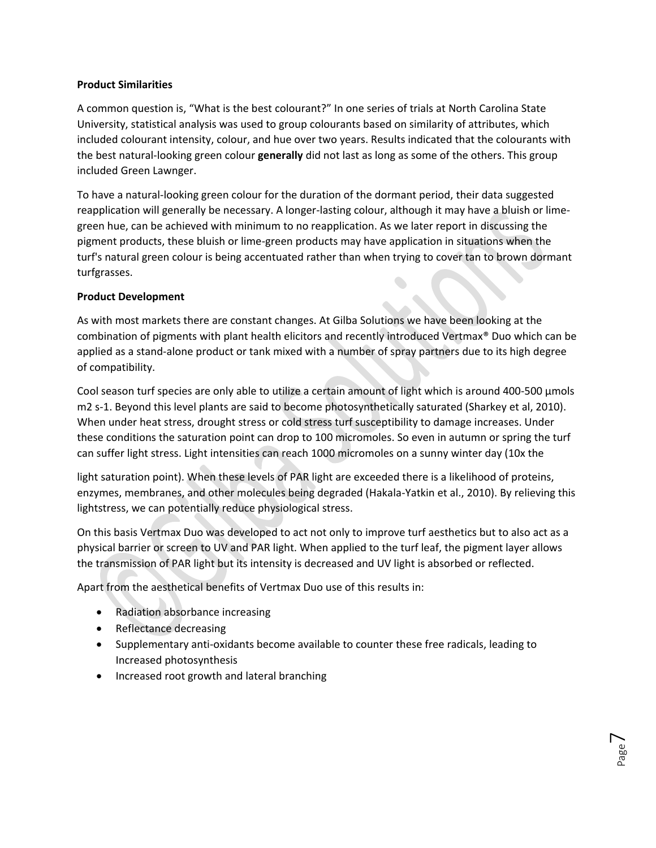### **Product Similarities**

A common question is, "What is the best colourant?" In one series of trials at North Carolina State University, statistical analysis was used to group colourants based on similarity of attributes, which included colourant intensity, colour, and hue over two years. Results indicated that the colourants with the best natural-looking green colour **generally** did not last as long as some of the others. This group included Green Lawnger.

To have a natural-looking green colour for the duration of the dormant period, their data suggested reapplication will generally be necessary. A longer-lasting colour, although it may have a bluish or limegreen hue, can be achieved with minimum to no reapplication. As we later report in discussing the pigment products, these bluish or lime-green products may have application in situations when the turf's natural green colour is being accentuated rather than when trying to cover tan to brown dormant turfgrasses.

## **Product Development**

As with most markets there are constant changes. At Gilba Solutions we have been looking at the combination of pigments with plant health elicitors and recently introduced Vertmax® Duo which can be applied as a stand-alone product or tank mixed with a number of spray partners due to its high degree of compatibility.

Cool season turf species are only able to utilize a certain amount of light which is around 400-500 μmols m2 s-1. Beyond this level plants are said to become photosynthetically saturated (Sharkey et al, 2010). When under heat stress, drought stress or cold stress turf susceptibility to damage increases. Under these conditions the saturation point can drop to 100 micromoles. So even in autumn or spring the turf can suffer light stress. Light intensities can reach 1000 micromoles on a sunny winter day (10x the

light saturation point). When these levels of PAR light are exceeded there is a likelihood of proteins, enzymes, membranes, and other molecules being degraded (Hakala-Yatkin et al., 2010). By relieving this lightstress, we can potentially reduce physiological stress.

On this basis Vertmax Duo was developed to act not only to improve turf aesthetics but to also act as a physical barrier or screen to UV and PAR light. When applied to the turf leaf, the pigment layer allows the transmission of PAR light but its intensity is decreased and UV light is absorbed or reflected.

Apart from the aesthetical benefits of Vertmax Duo use of this results in:

- Radiation absorbance increasing
- Reflectance decreasing
- Supplementary anti-oxidants become available to counter these free radicals, leading to Increased photosynthesis
- Increased root growth and lateral branching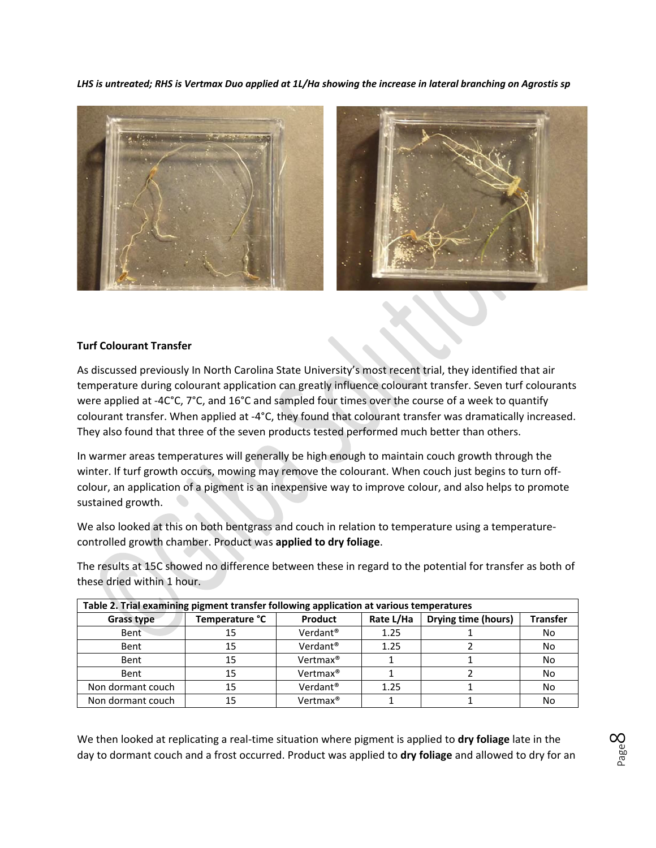*LHS is untreated; RHS is Vertmax Duo applied at 1L/Ha showing the increase in lateral branching on Agrostis sp*



#### **Turf Colourant Transfer**

As discussed previously In North Carolina State University's most recent trial, they identified that air temperature during colourant application can greatly influence colourant transfer. Seven turf colourants were applied at -4C°C, 7°C, and 16°C and sampled four times over the course of a week to quantify colourant transfer. When applied at -4°C, they found that colourant transfer was dramatically increased. They also found that three of the seven products tested performed much better than others.

In warmer areas temperatures will generally be high enough to maintain couch growth through the winter. If turf growth occurs, mowing may remove the colourant. When couch just begins to turn offcolour, an application of a pigment is an inexpensive way to improve colour, and also helps to promote sustained growth.

We also looked at this on both bentgrass and couch in relation to temperature using a temperaturecontrolled growth chamber. Product was **applied to dry foliage**.

The results at 15C showed no difference between these in regard to the potential for transfer as both of these dried within 1 hour.

| Table 2. Trial examining pigment transfer following application at various temperatures |                |                      |           |                     |                 |  |  |
|-----------------------------------------------------------------------------------------|----------------|----------------------|-----------|---------------------|-----------------|--|--|
| Grass type                                                                              | Temperature °C | Product              | Rate L/Ha | Drying time (hours) | <b>Transfer</b> |  |  |
| Bent                                                                                    | 15             | Verdant <sup>®</sup> | 1.25      |                     | No              |  |  |
| Bent                                                                                    | 15             | Verdant <sup>®</sup> | 1.25      |                     | No              |  |  |
| Bent                                                                                    | 15             | Vertmax <sup>®</sup> |           |                     | No              |  |  |
| Bent                                                                                    | 15             | Vertmax <sup>®</sup> |           |                     | No              |  |  |
| Non dormant couch                                                                       | 15             | Verdant <sup>®</sup> | 1.25      |                     | No              |  |  |
| Non dormant couch                                                                       | 15             | Vertmax <sup>®</sup> |           |                     | No              |  |  |

We then looked at replicating a real-time situation where pigment is applied to **dry foliage** late in the day to dormant couch and a frost occurred. Product was applied to **dry foliage** and allowed to dry for an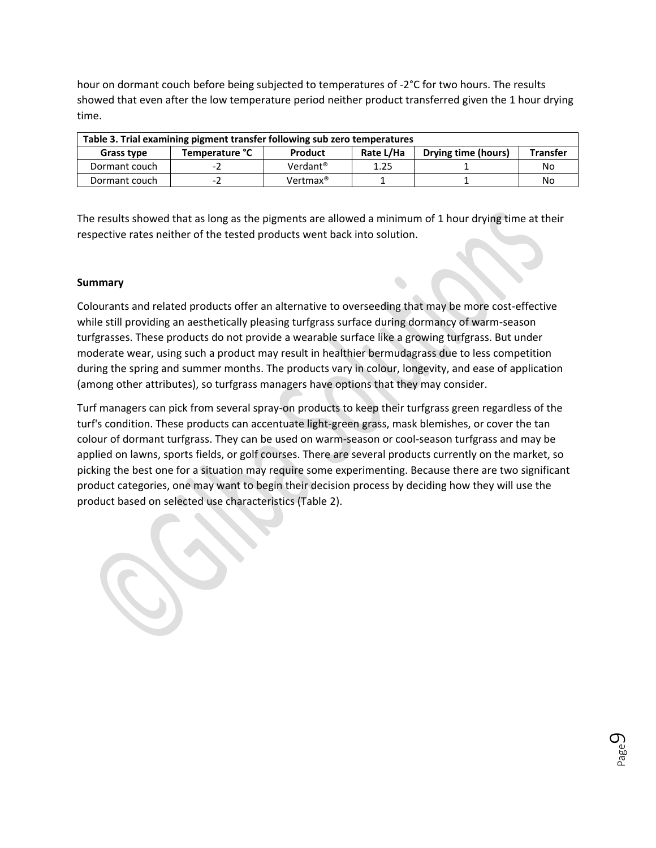hour on dormant couch before being subjected to temperatures of -2°C for two hours. The results showed that even after the low temperature period neither product transferred given the 1 hour drying time.

| Table 3. Trial examining pigment transfer following sub zero temperatures |                |                      |           |                     |                 |  |
|---------------------------------------------------------------------------|----------------|----------------------|-----------|---------------------|-----------------|--|
| Grass type                                                                | Temperature °C | Product              | Rate L/Ha | Drying time (hours) | <b>Transfer</b> |  |
| Dormant couch                                                             | $-1$           | Verdant <sup>®</sup> | 1.25      |                     | No              |  |
| Dormant couch                                                             | Ξ.             | Vertmax <sup>®</sup> |           |                     | No              |  |

The results showed that as long as the pigments are allowed a minimum of 1 hour drying time at their respective rates neither of the tested products went back into solution.

### **Summary**

Colourants and related products offer an alternative to overseeding that may be more cost-effective while still providing an aesthetically pleasing turfgrass surface during dormancy of warm-season turfgrasses. These products do not provide a wearable surface like a growing turfgrass. But under moderate wear, using such a product may result in healthier bermudagrass due to less competition during the spring and summer months. The products vary in colour, longevity, and ease of application (among other attributes), so turfgrass managers have options that they may consider.

Turf managers can pick from several spray-on products to keep their turfgrass green regardless of the turf's condition. These products can accentuate light-green grass, mask blemishes, or cover the tan colour of dormant turfgrass. They can be used on warm-season or cool-season turfgrass and may be applied on lawns, sports fields, or golf courses. There are several products currently on the market, so picking the best one for a situation may require some experimenting. Because there are two significant product categories, one may want to begin their decision process by deciding how they will use the product based on selected use characteristics (Table 2).

> Page  $\mathcal{O}$